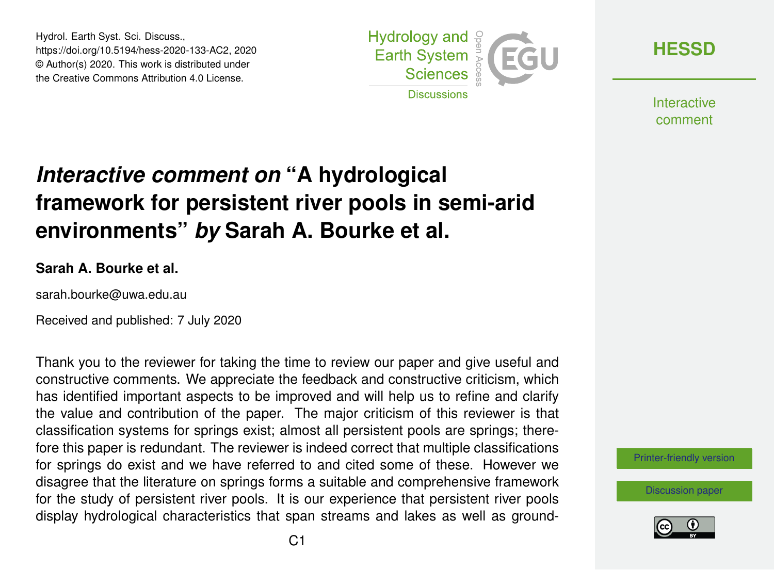Hydrol. Earth Syst. Sci. Discuss., https://doi.org/10.5194/hess-2020-133-AC2, 2020 © Author(s) 2020. This work is distributed under the Creative Commons Attribution 4.0 License.



**[HESSD](https://www.hydrol-earth-syst-sci-discuss.net/)**

**Interactive** comment

# *Interactive comment on* **"A hydrological framework for persistent river pools in semi-arid environments"** *by* **Sarah A. Bourke et al.**

#### **Sarah A. Bourke et al.**

sarah.bourke@uwa.edu.au

Received and published: 7 July 2020

Thank you to the reviewer for taking the time to review our paper and give useful and constructive comments. We appreciate the feedback and constructive criticism, which has identified important aspects to be improved and will help us to refine and clarify the value and contribution of the paper. The major criticism of this reviewer is that classification systems for springs exist; almost all persistent pools are springs; therefore this paper is redundant. The reviewer is indeed correct that multiple classifications for springs do exist and we have referred to and cited some of these. However we disagree that the literature on springs forms a suitable and comprehensive framework for the study of persistent river pools. It is our experience that persistent river pools display hydrological characteristics that span streams and lakes as well as ground-



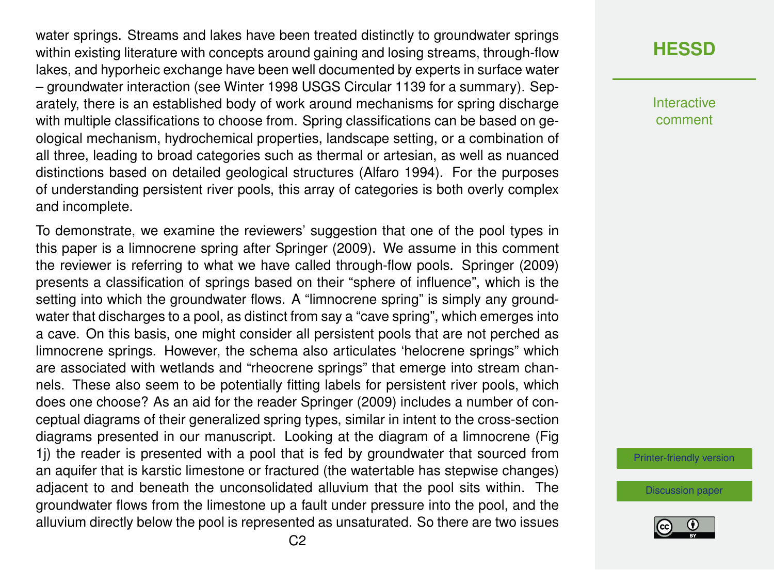water springs. Streams and lakes have been treated distinctly to groundwater springs within existing literature with concepts around gaining and losing streams, through-flow lakes, and hyporheic exchange have been well documented by experts in surface water – groundwater interaction (see Winter 1998 USGS Circular 1139 for a summary). Separately, there is an established body of work around mechanisms for spring discharge with multiple classifications to choose from. Spring classifications can be based on geological mechanism, hydrochemical properties, landscape setting, or a combination of all three, leading to broad categories such as thermal or artesian, as well as nuanced distinctions based on detailed geological structures (Alfaro 1994). For the purposes of understanding persistent river pools, this array of categories is both overly complex and incomplete.

To demonstrate, we examine the reviewers' suggestion that one of the pool types in this paper is a limnocrene spring after Springer (2009). We assume in this comment the reviewer is referring to what we have called through-flow pools. Springer (2009) presents a classification of springs based on their "sphere of influence", which is the setting into which the groundwater flows. A "limnocrene spring" is simply any groundwater that discharges to a pool, as distinct from say a "cave spring", which emerges into a cave. On this basis, one might consider all persistent pools that are not perched as limnocrene springs. However, the schema also articulates 'helocrene springs" which are associated with wetlands and "rheocrene springs" that emerge into stream channels. These also seem to be potentially fitting labels for persistent river pools, which does one choose? As an aid for the reader Springer (2009) includes a number of conceptual diagrams of their generalized spring types, similar in intent to the cross-section diagrams presented in our manuscript. Looking at the diagram of a limnocrene (Fig 1j) the reader is presented with a pool that is fed by groundwater that sourced from an aquifer that is karstic limestone or fractured (the watertable has stepwise changes) adjacent to and beneath the unconsolidated alluvium that the pool sits within. The groundwater flows from the limestone up a fault under pressure into the pool, and the alluvium directly below the pool is represented as unsaturated. So there are two issues **Interactive** comment

[Printer-friendly version](https://www.hydrol-earth-syst-sci-discuss.net/hess-2020-133/hess-2020-133-AC2-print.pdf)

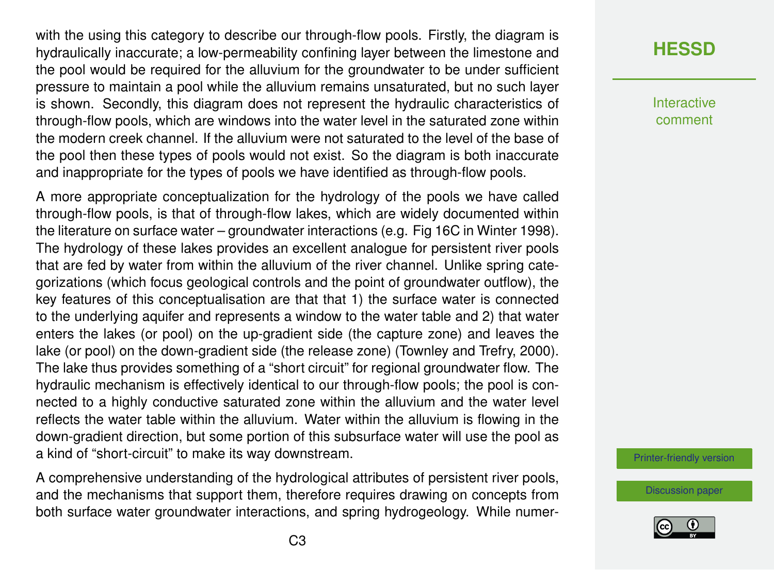with the using this category to describe our through-flow pools. Firstly, the diagram is hydraulically inaccurate; a low-permeability confining layer between the limestone and the pool would be required for the alluvium for the groundwater to be under sufficient pressure to maintain a pool while the alluvium remains unsaturated, but no such layer is shown. Secondly, this diagram does not represent the hydraulic characteristics of through-flow pools, which are windows into the water level in the saturated zone within the modern creek channel. If the alluvium were not saturated to the level of the base of the pool then these types of pools would not exist. So the diagram is both inaccurate and inappropriate for the types of pools we have identified as through-flow pools.

A more appropriate conceptualization for the hydrology of the pools we have called through-flow pools, is that of through-flow lakes, which are widely documented within the literature on surface water – groundwater interactions (e.g. Fig 16C in Winter 1998). The hydrology of these lakes provides an excellent analogue for persistent river pools that are fed by water from within the alluvium of the river channel. Unlike spring categorizations (which focus geological controls and the point of groundwater outflow), the key features of this conceptualisation are that that 1) the surface water is connected to the underlying aquifer and represents a window to the water table and 2) that water enters the lakes (or pool) on the up-gradient side (the capture zone) and leaves the lake (or pool) on the down-gradient side (the release zone) (Townley and Trefry, 2000). The lake thus provides something of a "short circuit" for regional groundwater flow. The hydraulic mechanism is effectively identical to our through-flow pools; the pool is connected to a highly conductive saturated zone within the alluvium and the water level reflects the water table within the alluvium. Water within the alluvium is flowing in the down-gradient direction, but some portion of this subsurface water will use the pool as a kind of "short-circuit" to make its way downstream.

A comprehensive understanding of the hydrological attributes of persistent river pools, and the mechanisms that support them, therefore requires drawing on concepts from both surface water groundwater interactions, and spring hydrogeology. While numer-

### **[HESSD](https://www.hydrol-earth-syst-sci-discuss.net/)**

**Interactive** comment

[Printer-friendly version](https://www.hydrol-earth-syst-sci-discuss.net/hess-2020-133/hess-2020-133-AC2-print.pdf)

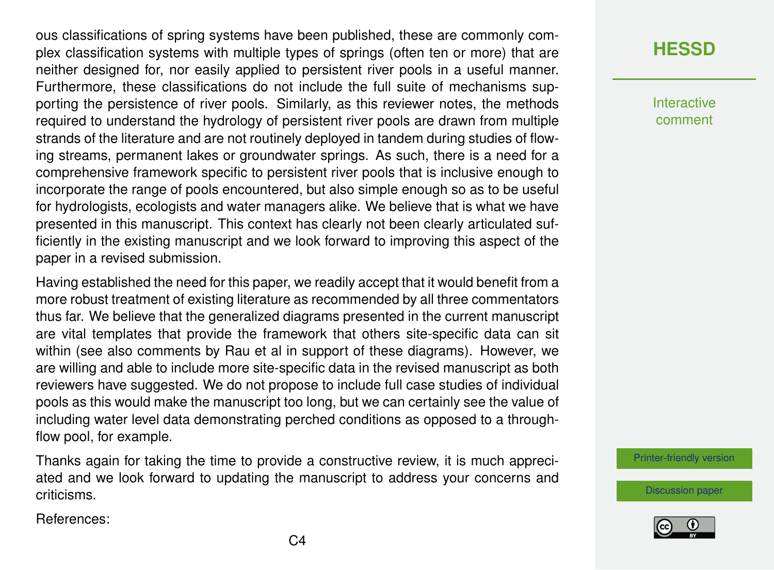ous classifications of spring systems have been published, these are commonly complex classification systems with multiple types of springs (often ten or more) that are neither designed for, nor easily applied to persistent river pools in a useful manner. Furthermore, these classifications do not include the full suite of mechanisms supporting the persistence of river pools. Similarly, as this reviewer notes, the methods required to understand the hydrology of persistent river pools are drawn from multiple strands of the literature and are not routinely deployed in tandem during studies of flowing streams, permanent lakes or groundwater springs. As such, there is a need for a comprehensive framework specific to persistent river pools that is inclusive enough to incorporate the range of pools encountered, but also simple enough so as to be useful for hydrologists, ecologists and water managers alike. We believe that is what we have presented in this manuscript. This context has clearly not been clearly articulated sufficiently in the existing manuscript and we look forward to improving this aspect of the paper in a revised submission.

Having established the need for this paper, we readily accept that it would benefit from a more robust treatment of existing literature as recommended by all three commentators thus far. We believe that the generalized diagrams presented in the current manuscript are vital templates that provide the framework that others site-specific data can sit within (see also comments by Rau et al in support of these diagrams). However, we are willing and able to include more site-specific data in the revised manuscript as both reviewers have suggested. We do not propose to include full case studies of individual pools as this would make the manuscript too long, but we can certainly see the value of including water level data demonstrating perched conditions as opposed to a throughflow pool, for example.

Thanks again for taking the time to provide a constructive review, it is much appreciated and we look forward to updating the manuscript to address your concerns and criticisms.

References:

#### **[HESSD](https://www.hydrol-earth-syst-sci-discuss.net/)**

Interactive comment

[Printer-friendly version](https://www.hydrol-earth-syst-sci-discuss.net/hess-2020-133/hess-2020-133-AC2-print.pdf)